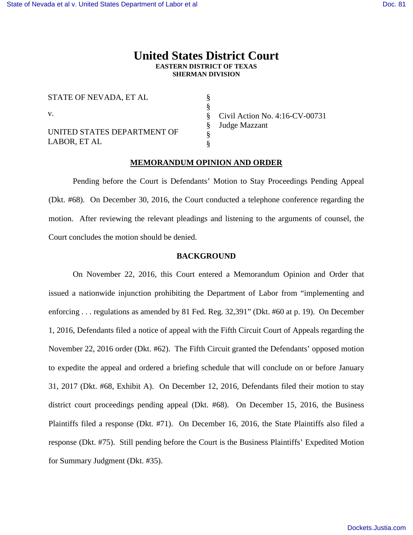## **United States District Court EASTERN DISTRICT OF TEXAS SHERMAN DIVISION**

§ § § § § §

STATE OF NEVADA, ET AL v.

UNITED STATES DEPARTMENT OF LABOR, ET AL

Civil Action No. 4:16-CV-00731 Judge Mazzant

## **MEMORANDUM OPINION AND ORDER**

Pending before the Court is Defendants' Motion to Stay Proceedings Pending Appeal (Dkt. #68). On December 30, 2016, the Court conducted a telephone conference regarding the motion. After reviewing the relevant pleadings and listening to the arguments of counsel, the Court concludes the motion should be denied.

## **BACKGROUND**

On November 22, 2016, this Court entered a Memorandum Opinion and Order that issued a nationwide injunction prohibiting the Department of Labor from "implementing and enforcing . . . regulations as amended by 81 Fed. Reg. 32,391" (Dkt. #60 at p. 19). On December 1, 2016, Defendants filed a notice of appeal with the Fifth Circuit Court of Appeals regarding the November 22, 2016 order (Dkt. #62). The Fifth Circuit granted the Defendants' opposed motion to expedite the appeal and ordered a briefing schedule that will conclude on or before January 31, 2017 (Dkt. #68, Exhibit A). On December 12, 2016, Defendants filed their motion to stay district court proceedings pending appeal (Dkt. #68). On December 15, 2016, the Business Plaintiffs filed a response (Dkt. #71). On December 16, 2016, the State Plaintiffs also filed a response (Dkt. #75). Still pending before the Court is the Business Plaintiffs' Expedited Motion for Summary Judgment (Dkt. #35).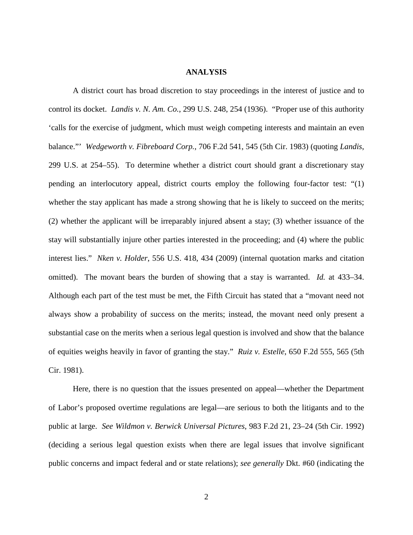## **ANALYSIS**

A district court has broad discretion to stay proceedings in the interest of justice and to control its docket. *Landis v. N. Am. Co.*, 299 U.S. 248, 254 (1936). "Proper use of this authority 'calls for the exercise of judgment, which must weigh competing interests and maintain an even balance."' *Wedgeworth v. Fibreboard Corp.*, 706 F.2d 541, 545 (5th Cir. 1983) (quoting *Landis*, 299 U.S. at 254–55). To determine whether a district court should grant a discretionary stay pending an interlocutory appeal, district courts employ the following four-factor test: "(1) whether the stay applicant has made a strong showing that he is likely to succeed on the merits; (2) whether the applicant will be irreparably injured absent a stay; (3) whether issuance of the stay will substantially injure other parties interested in the proceeding; and (4) where the public interest lies." *Nken v. Holder*, 556 U.S. 418, 434 (2009) (internal quotation marks and citation omitted). The movant bears the burden of showing that a stay is warranted. *Id.* at 433–34. Although each part of the test must be met, the Fifth Circuit has stated that a "movant need not always show a probability of success on the merits; instead, the movant need only present a substantial case on the merits when a serious legal question is involved and show that the balance of equities weighs heavily in favor of granting the stay." *Ruiz v. Estelle*, 650 F.2d 555, 565 (5th Cir. 1981).

Here, there is no question that the issues presented on appeal—whether the Department of Labor's proposed overtime regulations are legal—are serious to both the litigants and to the public at large. *See Wildmon v. Berwick Universal Pictures*, 983 F.2d 21, 23–24 (5th Cir. 1992) (deciding a serious legal question exists when there are legal issues that involve significant public concerns and impact federal and or state relations); *see generally* Dkt. #60 (indicating the